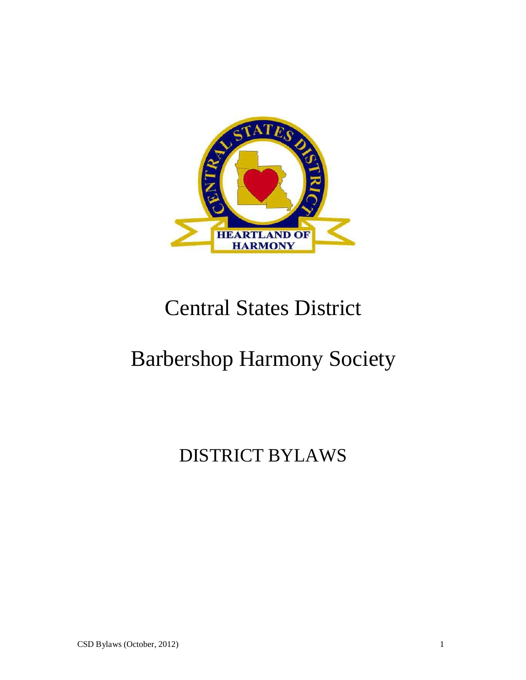

# Central States District

# Barbershop Harmony Society

## DISTRICT BYLAWS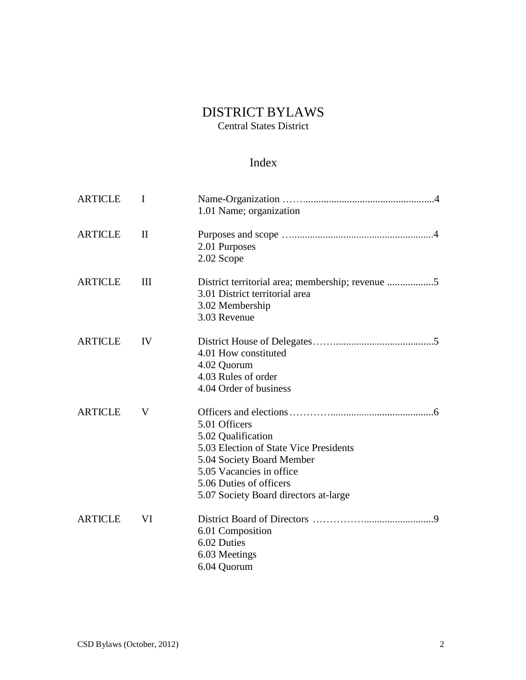## DISTRICT BYLAWS

Central States District

## Index

| <b>ARTICLE</b> | I                  | 1.01 Name; organization                                                                                                                                                                                    |
|----------------|--------------------|------------------------------------------------------------------------------------------------------------------------------------------------------------------------------------------------------------|
| <b>ARTICLE</b> | $\mathbf{I}$       | 2.01 Purposes<br>2.02 Scope                                                                                                                                                                                |
| <b>ARTICLE</b> | $\mathop{\rm III}$ | 3.01 District territorial area<br>3.02 Membership<br>3.03 Revenue                                                                                                                                          |
| <b>ARTICLE</b> | IV                 | 4.01 How constituted<br>4.02 Quorum<br>4.03 Rules of order<br>4.04 Order of business                                                                                                                       |
| <b>ARTICLE</b> | V                  | 5.01 Officers<br>5.02 Qualification<br>5.03 Election of State Vice Presidents<br>5.04 Society Board Member<br>5.05 Vacancies in office<br>5.06 Duties of officers<br>5.07 Society Board directors at-large |
| <b>ARTICLE</b> | VI                 | 6.01 Composition<br>6.02 Duties<br>6.03 Meetings<br>6.04 Quorum                                                                                                                                            |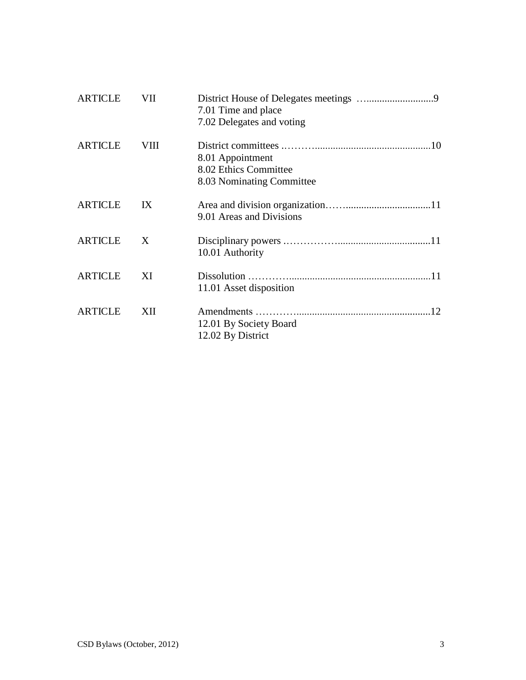| <b>ARTICLE</b> | VII  | 7.01 Time and place<br>7.02 Delegates and voting                       |
|----------------|------|------------------------------------------------------------------------|
| <b>ARTICLE</b> | VIII | 8.01 Appointment<br>8.02 Ethics Committee<br>8.03 Nominating Committee |
| <b>ARTICLE</b> | IX   | 9.01 Areas and Divisions                                               |
| <b>ARTICLE</b> | X    | 10.01 Authority                                                        |
| <b>ARTICLE</b> | XI   | 11.01 Asset disposition                                                |
| <b>ARTICLE</b> | XII  | 12.01 By Society Board<br>12.02 By District                            |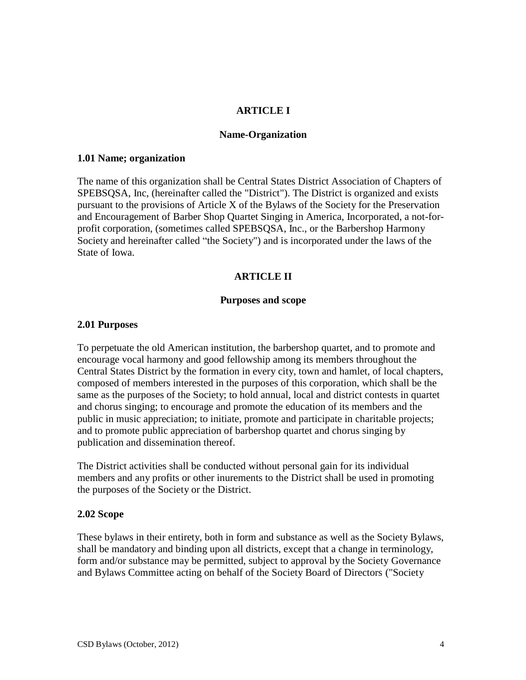## **ARTICLE I**

#### **Name-Organization**

#### **1.01 Name; organization**

The name of this organization shall be Central States District Association of Chapters of SPEBSQSA, Inc, (hereinafter called the "District"). The District is organized and exists pursuant to the provisions of Article X of the Bylaws of the Society for the Preservation and Encouragement of Barber Shop Quartet Singing in America, Incorporated, a not-forprofit corporation, (sometimes called SPEBSQSA, Inc., or the Barbershop Harmony Society and hereinafter called "the Society") and is incorporated under the laws of the State of Iowa.

## **ARTICLE II**

#### **Purposes and scope**

#### **2.01 Purposes**

To perpetuate the old American institution, the barbershop quartet, and to promote and encourage vocal harmony and good fellowship among its members throughout the Central States District by the formation in every city, town and hamlet, of local chapters, composed of members interested in the purposes of this corporation, which shall be the same as the purposes of the Society; to hold annual, local and district contests in quartet and chorus singing; to encourage and promote the education of its members and the public in music appreciation; to initiate, promote and participate in charitable projects; and to promote public appreciation of barbershop quartet and chorus singing by publication and dissemination thereof.

The District activities shall be conducted without personal gain for its individual members and any profits or other inurements to the District shall be used in promoting the purposes of the Society or the District.

## **2.02 Scope**

These bylaws in their entirety, both in form and substance as well as the Society Bylaws, shall be mandatory and binding upon all districts, except that a change in terminology, form and/or substance may be permitted, subject to approval by the Society Governance and Bylaws Committee acting on behalf of the Society Board of Directors ("Society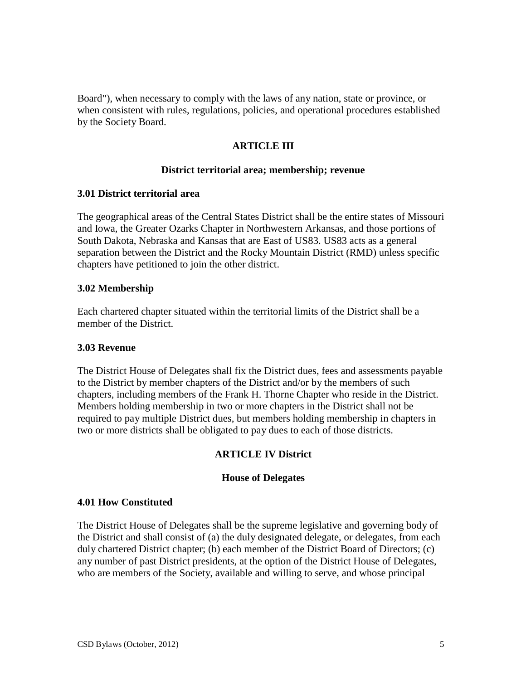Board"), when necessary to comply with the laws of any nation, state or province, or when consistent with rules, regulations, policies, and operational procedures established by the Society Board.

## **ARTICLE III**

### **District territorial area; membership; revenue**

## **3.01 District territorial area**

The geographical areas of the Central States District shall be the entire states of Missouri and Iowa, the Greater Ozarks Chapter in Northwestern Arkansas, and those portions of South Dakota, Nebraska and Kansas that are East of US83. US83 acts as a general separation between the District and the Rocky Mountain District (RMD) unless specific chapters have petitioned to join the other district.

## **3.02 Membership**

Each chartered chapter situated within the territorial limits of the District shall be a member of the District.

## **3.03 Revenue**

The District House of Delegates shall fix the District dues, fees and assessments payable to the District by member chapters of the District and/or by the members of such chapters, including members of the Frank H. Thorne Chapter who reside in the District. Members holding membership in two or more chapters in the District shall not be required to pay multiple District dues, but members holding membership in chapters in two or more districts shall be obligated to pay dues to each of those districts.

## **ARTICLE IV District**

## **House of Delegates**

#### **4.01 How Constituted**

The District House of Delegates shall be the supreme legislative and governing body of the District and shall consist of (a) the duly designated delegate, or delegates, from each duly chartered District chapter; (b) each member of the District Board of Directors; (c) any number of past District presidents, at the option of the District House of Delegates, who are members of the Society, available and willing to serve, and whose principal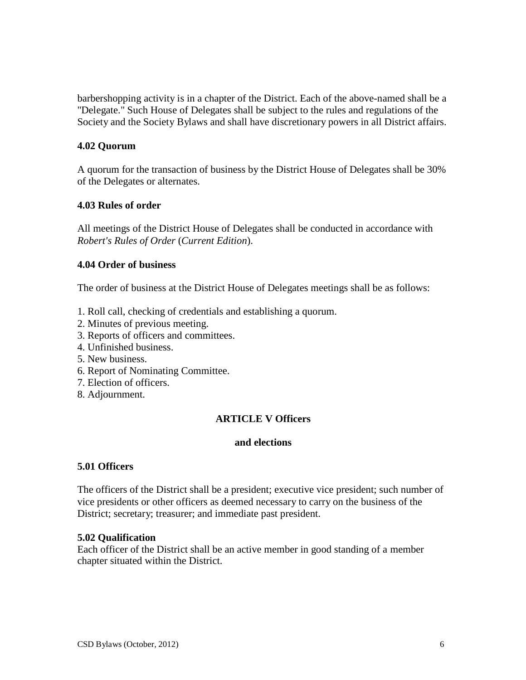barbershopping activity is in a chapter of the District. Each of the above-named shall be a "Delegate." Such House of Delegates shall be subject to the rules and regulations of the Society and the Society Bylaws and shall have discretionary powers in all District affairs.

## **4.02 Quorum**

A quorum for the transaction of business by the District House of Delegates shall be 30% of the Delegates or alternates.

## **4.03 Rules of order**

All meetings of the District House of Delegates shall be conducted in accordance with *Robert's Rules of Order* (*Current Edition*).

## **4.04 Order of business**

The order of business at the District House of Delegates meetings shall be as follows:

- 1. Roll call, checking of credentials and establishing a quorum.
- 2. Minutes of previous meeting.
- 3. Reports of officers and committees.
- 4. Unfinished business.
- 5. New business.
- 6. Report of Nominating Committee.
- 7. Election of officers.
- 8. Adjournment.

## **ARTICLE V Officers**

## **and elections**

## **5.01 Officers**

The officers of the District shall be a president; executive vice president; such number of vice presidents or other officers as deemed necessary to carry on the business of the District; secretary; treasurer; and immediate past president.

## **5.02 Qualification**

Each officer of the District shall be an active member in good standing of a member chapter situated within the District.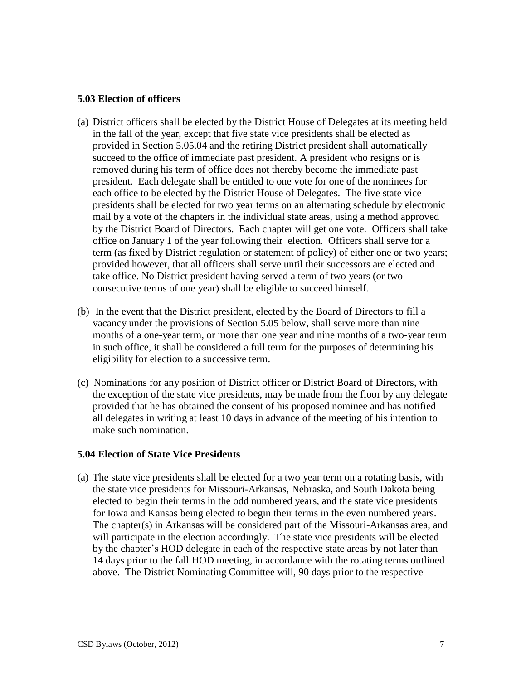## **5.03 Election of officers**

- (a) District officers shall be elected by the District House of Delegates at its meeting held in the fall of the year, except that five state vice presidents shall be elected as provided in Section 5.05.04 and the retiring District president shall automatically succeed to the office of immediate past president. A president who resigns or is removed during his term of office does not thereby become the immediate past president. Each delegate shall be entitled to one vote for one of the nominees for each office to be elected by the District House of Delegates. The five state vice presidents shall be elected for two year terms on an alternating schedule by electronic mail by a vote of the chapters in the individual state areas, using a method approved by the District Board of Directors. Each chapter will get one vote. Officers shall take office on January 1 of the year following their election. Officers shall serve for a term (as fixed by District regulation or statement of policy) of either one or two years; provided however, that all officers shall serve until their successors are elected and take office. No District president having served a term of two years (or two consecutive terms of one year) shall be eligible to succeed himself.
- (b) In the event that the District president, elected by the Board of Directors to fill a vacancy under the provisions of Section 5.05 below, shall serve more than nine months of a one-year term, or more than one year and nine months of a two-year term in such office, it shall be considered a full term for the purposes of determining his eligibility for election to a successive term.
- (c) Nominations for any position of District officer or District Board of Directors, with the exception of the state vice presidents, may be made from the floor by any delegate provided that he has obtained the consent of his proposed nominee and has notified all delegates in writing at least 10 days in advance of the meeting of his intention to make such nomination.

## **5.04 Election of State Vice Presidents**

(a) The state vice presidents shall be elected for a two year term on a rotating basis, with the state vice presidents for Missouri-Arkansas, Nebraska, and South Dakota being elected to begin their terms in the odd numbered years, and the state vice presidents for Iowa and Kansas being elected to begin their terms in the even numbered years. The chapter(s) in Arkansas will be considered part of the Missouri-Arkansas area, and will participate in the election accordingly. The state vice presidents will be elected by the chapter's HOD delegate in each of the respective state areas by not later than 14 days prior to the fall HOD meeting, in accordance with the rotating terms outlined above. The District Nominating Committee will, 90 days prior to the respective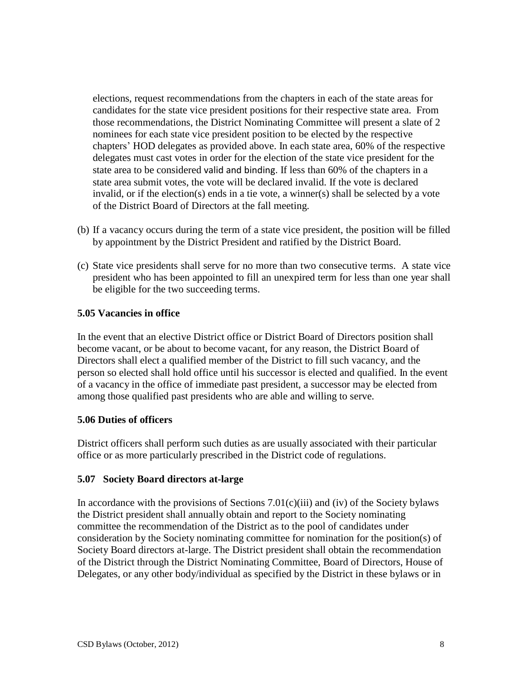elections, request recommendations from the chapters in each of the state areas for candidates for the state vice president positions for their respective state area. From those recommendations, the District Nominating Committee will present a slate of 2 nominees for each state vice president position to be elected by the respective chapters' HOD delegates as provided above. In each state area, 60% of the respective delegates must cast votes in order for the election of the state vice president for the state area to be considered valid and binding. If less than 60% of the chapters in a state area submit votes, the vote will be declared invalid. If the vote is declared invalid, or if the election(s) ends in a tie vote, a winner(s) shall be selected by a vote of the District Board of Directors at the fall meeting.

- (b) If a vacancy occurs during the term of a state vice president, the position will be filled by appointment by the District President and ratified by the District Board.
- (c) State vice presidents shall serve for no more than two consecutive terms. A state vice president who has been appointed to fill an unexpired term for less than one year shall be eligible for the two succeeding terms.

## **5.05 Vacancies in office**

In the event that an elective District office or District Board of Directors position shall become vacant, or be about to become vacant, for any reason, the District Board of Directors shall elect a qualified member of the District to fill such vacancy, and the person so elected shall hold office until his successor is elected and qualified. In the event of a vacancy in the office of immediate past president, a successor may be elected from among those qualified past presidents who are able and willing to serve.

## **5.06 Duties of officers**

District officers shall perform such duties as are usually associated with their particular office or as more particularly prescribed in the District code of regulations.

## **5.07 Society Board directors at-large**

In accordance with the provisions of Sections  $7.01(c)(iii)$  and (iv) of the Society bylaws the District president shall annually obtain and report to the Society nominating committee the recommendation of the District as to the pool of candidates under consideration by the Society nominating committee for nomination for the position(s) of Society Board directors at-large. The District president shall obtain the recommendation of the District through the District Nominating Committee, Board of Directors, House of Delegates, or any other body/individual as specified by the District in these bylaws or in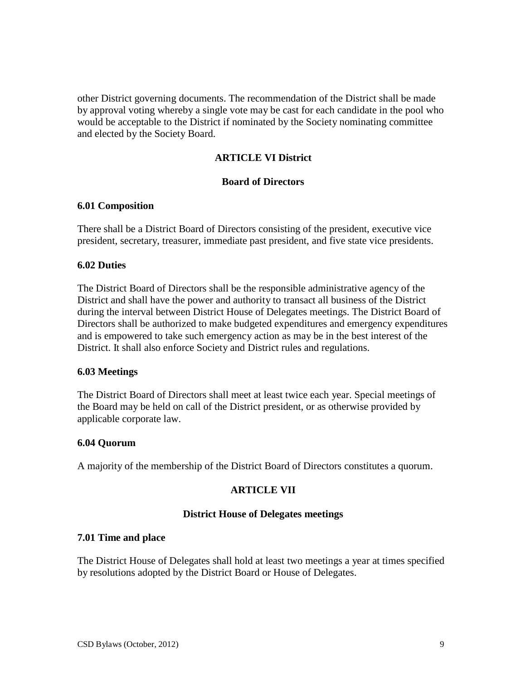other District governing documents. The recommendation of the District shall be made by approval voting whereby a single vote may be cast for each candidate in the pool who would be acceptable to the District if nominated by the Society nominating committee and elected by the Society Board.

## **ARTICLE VI District**

## **Board of Directors**

## **6.01 Composition**

There shall be a District Board of Directors consisting of the president, executive vice president, secretary, treasurer, immediate past president, and five state vice presidents.

## **6.02 Duties**

The District Board of Directors shall be the responsible administrative agency of the District and shall have the power and authority to transact all business of the District during the interval between District House of Delegates meetings. The District Board of Directors shall be authorized to make budgeted expenditures and emergency expenditures and is empowered to take such emergency action as may be in the best interest of the District. It shall also enforce Society and District rules and regulations.

## **6.03 Meetings**

The District Board of Directors shall meet at least twice each year. Special meetings of the Board may be held on call of the District president, or as otherwise provided by applicable corporate law.

## **6.04 Quorum**

A majority of the membership of the District Board of Directors constitutes a quorum.

## **ARTICLE VII**

## **District House of Delegates meetings**

## **7.01 Time and place**

The District House of Delegates shall hold at least two meetings a year at times specified by resolutions adopted by the District Board or House of Delegates.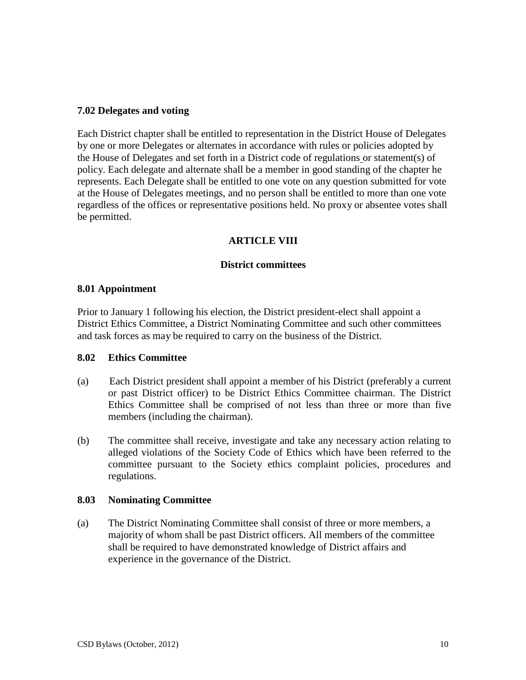## **7.02 Delegates and voting**

Each District chapter shall be entitled to representation in the District House of Delegates by one or more Delegates or alternates in accordance with rules or policies adopted by the House of Delegates and set forth in a District code of regulations or statement(s) of policy. Each delegate and alternate shall be a member in good standing of the chapter he represents. Each Delegate shall be entitled to one vote on any question submitted for vote at the House of Delegates meetings, and no person shall be entitled to more than one vote regardless of the offices or representative positions held. No proxy or absentee votes shall be permitted.

## **ARTICLE VIII**

## **District committees**

#### **8.01 Appointment**

Prior to January 1 following his election, the District president-elect shall appoint a District Ethics Committee, a District Nominating Committee and such other committees and task forces as may be required to carry on the business of the District.

#### **8.02 Ethics Committee**

- (a) Each District president shall appoint a member of his District (preferably a current or past District officer) to be District Ethics Committee chairman. The District Ethics Committee shall be comprised of not less than three or more than five members (including the chairman).
- (b) The committee shall receive, investigate and take any necessary action relating to alleged violations of the Society Code of Ethics which have been referred to the committee pursuant to the Society ethics complaint policies, procedures and regulations.

## **8.03 Nominating Committee**

(a) The District Nominating Committee shall consist of three or more members, a majority of whom shall be past District officers. All members of the committee shall be required to have demonstrated knowledge of District affairs and experience in the governance of the District.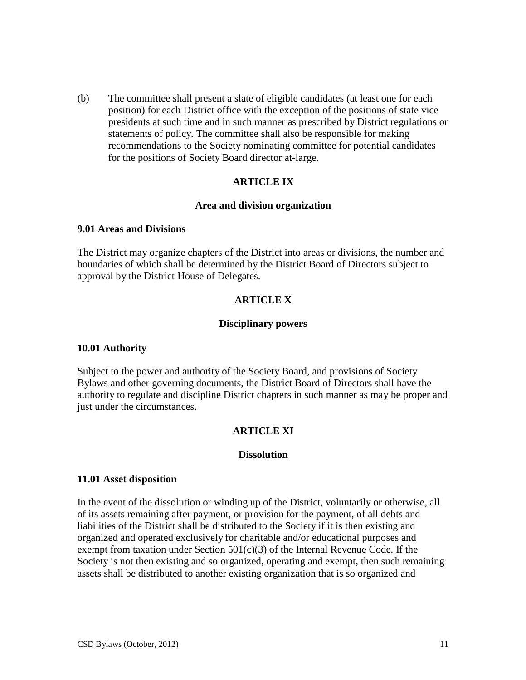(b) The committee shall present a slate of eligible candidates (at least one for each position) for each District office with the exception of the positions of state vice presidents at such time and in such manner as prescribed by District regulations or statements of policy. The committee shall also be responsible for making recommendations to the Society nominating committee for potential candidates for the positions of Society Board director at-large.

## **ARTICLE IX**

#### **Area and division organization**

#### **9.01 Areas and Divisions**

The District may organize chapters of the District into areas or divisions, the number and boundaries of which shall be determined by the District Board of Directors subject to approval by the District House of Delegates.

## **ARTICLE X**

## **Disciplinary powers**

## **10.01 Authority**

Subject to the power and authority of the Society Board, and provisions of Society Bylaws and other governing documents, the District Board of Directors shall have the authority to regulate and discipline District chapters in such manner as may be proper and just under the circumstances.

## **ARTICLE XI**

## **Dissolution**

## **11.01 Asset disposition**

In the event of the dissolution or winding up of the District, voluntarily or otherwise, all of its assets remaining after payment, or provision for the payment, of all debts and liabilities of the District shall be distributed to the Society if it is then existing and organized and operated exclusively for charitable and/or educational purposes and exempt from taxation under Section  $501(c)(3)$  of the Internal Revenue Code. If the Society is not then existing and so organized, operating and exempt, then such remaining assets shall be distributed to another existing organization that is so organized and